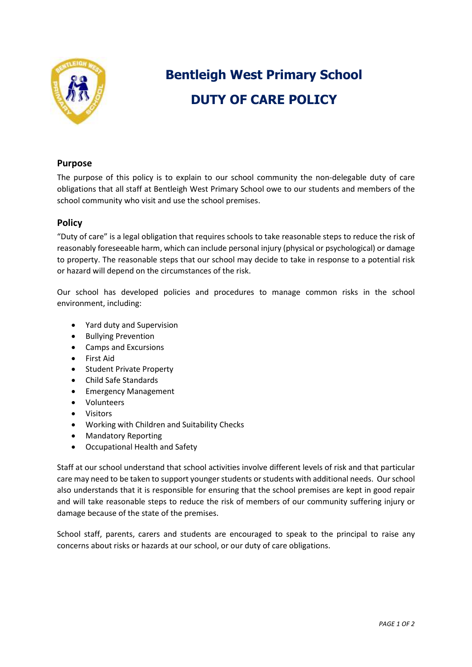

# **Bentleigh West Primary School DUTY OF CARE POLICY**

## **Purpose**

The purpose of this policy is to explain to our school community the non-delegable duty of care obligations that all staff at Bentleigh West Primary School owe to our students and members of the school community who visit and use the school premises.

## **Policy**

"Duty of care" is a legal obligation that requires schools to take reasonable steps to reduce the risk of reasonably foreseeable harm, which can include personal injury (physical or psychological) or damage to property. The reasonable steps that our school may decide to take in response to a potential risk or hazard will depend on the circumstances of the risk.

Our school has developed policies and procedures to manage common risks in the school environment, including:

- Yard duty and Supervision
- Bullying Prevention
- Camps and Excursions
- First Aid
- Student Private Property
- Child Safe Standards
- **•** Emergency Management
- Volunteers
- Visitors
- Working with Children and Suitability Checks
- Mandatory Reporting
- Occupational Health and Safety

Staff at our school understand that school activities involve different levels of risk and that particular care may need to be taken to support younger students or students with additional needs. Our school also understands that it is responsible for ensuring that the school premises are kept in good repair and will take reasonable steps to reduce the risk of members of our community suffering injury or damage because of the state of the premises.

School staff, parents, carers and students are encouraged to speak to the principal to raise any concerns about risks or hazards at our school, or our duty of care obligations.